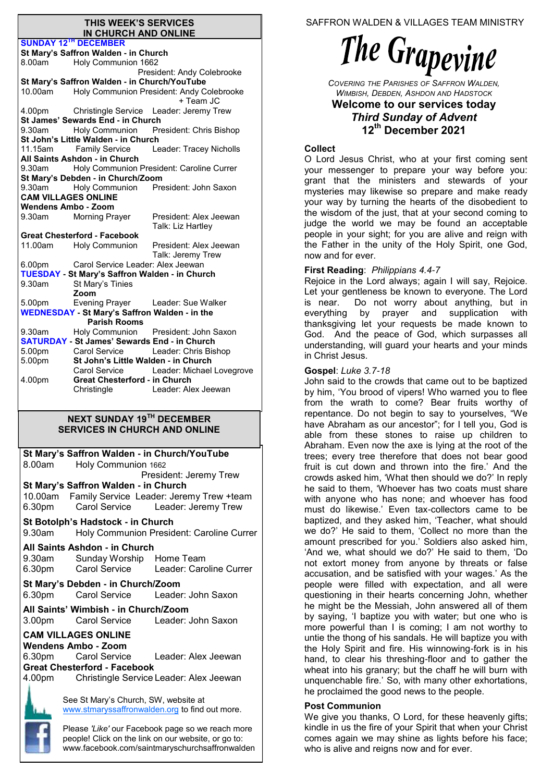#### **THIS WEEK'S SERVICES IN CHURCH AND ONLINE**

|                                                      |                                     | <u>ויום ווא שיות ווטגוטווט</u>                        |                                                  |  |  |
|------------------------------------------------------|-------------------------------------|-------------------------------------------------------|--------------------------------------------------|--|--|
|                                                      |                                     | <b>SUNDAY 12TH DECEMBER</b>                           |                                                  |  |  |
|                                                      |                                     | St Mary's Saffron Walden - in Church                  |                                                  |  |  |
|                                                      | 8.00am                              | Holy Communion 1662                                   |                                                  |  |  |
|                                                      |                                     | President: Andy Colebrooke                            |                                                  |  |  |
| St Mary's Saffron Walden - in Church/YouTube         |                                     |                                                       |                                                  |  |  |
|                                                      |                                     | 10.00am Holy Communion President: Andy Colebrooke     |                                                  |  |  |
|                                                      |                                     |                                                       | + Team JC                                        |  |  |
|                                                      |                                     |                                                       | 4.00pm Christingle Service Leader: Jeremy Trew   |  |  |
| St James' Sewards End - in Church                    |                                     |                                                       |                                                  |  |  |
|                                                      |                                     |                                                       | 9.30am Holy Communion President: Chris Bishop    |  |  |
|                                                      | St John's Little Walden - in Church |                                                       |                                                  |  |  |
|                                                      |                                     |                                                       | 11.15am Family Service Leader: Tracey Nicholls   |  |  |
|                                                      |                                     | All Saints Ashdon - in Church                         |                                                  |  |  |
|                                                      |                                     |                                                       | 9.30am Holy Communion President: Caroline Currer |  |  |
|                                                      |                                     | St Mary's Debden - in Church/Zoom                     |                                                  |  |  |
|                                                      | 9.30am                              | <b>Holy Communion</b>                                 | President: John Saxon                            |  |  |
|                                                      | <b>CAM VILLAGES ONLINE</b>          |                                                       |                                                  |  |  |
|                                                      | <b>Wendens Ambo - Zoom</b>          |                                                       |                                                  |  |  |
|                                                      |                                     | 9.30am Morning Prayer                                 | President: Alex Jeewan                           |  |  |
|                                                      |                                     |                                                       | Talk: Liz Hartley                                |  |  |
|                                                      |                                     | <b>Great Chesterford - Facebook</b>                   |                                                  |  |  |
|                                                      | 11.00am                             | Holy Communion                                        | President: Alex Jeewan                           |  |  |
|                                                      |                                     |                                                       | Talk: Jeremy Trew                                |  |  |
|                                                      | 6.00pm                              | Carol Service Leader: Alex Jeewan                     |                                                  |  |  |
|                                                      |                                     | <b>TUESDAY - St Mary's Saffron Walden - in Church</b> |                                                  |  |  |
|                                                      | 9.30am                              | St Mary's Tinies                                      |                                                  |  |  |
|                                                      |                                     | Zoom                                                  |                                                  |  |  |
|                                                      |                                     |                                                       | 5.00pm Evening Prayer Leader: Sue Walker         |  |  |
| <b>WEDNESDAY - St Mary's Saffron Walden - in the</b> |                                     |                                                       |                                                  |  |  |
|                                                      |                                     | <b>Parish Rooms</b>                                   |                                                  |  |  |
|                                                      | 9.30am                              | Holy Communion                                        | President: John Saxon                            |  |  |
|                                                      |                                     | <b>SATURDAY - St James' Sewards End - in Church</b>   |                                                  |  |  |
|                                                      | 5.00pm                              |                                                       | Carol Service Leader: Chris Bishop               |  |  |
|                                                      | 5.00pm                              | St John's Little Walden - in Church                   |                                                  |  |  |
|                                                      |                                     | Carol Service                                         | Leader: Michael Lovegrove                        |  |  |
|                                                      | 4.00pm                              | <b>Great Chesterford - in Church</b>                  |                                                  |  |  |
|                                                      |                                     | Christingle                                           | Leader: Alex Jeewan                              |  |  |
|                                                      |                                     |                                                       |                                                  |  |  |

#### **NEXT SUNDAY 19TH DECEMBER SERVICES IN CHURCH AND ONLINE**

| St Mary's Saffron Walden - in Church/YouTube |                                                     |                                                  |  |  |  |
|----------------------------------------------|-----------------------------------------------------|--------------------------------------------------|--|--|--|
| 8.00am                                       | Holy Communion 1662                                 |                                                  |  |  |  |
|                                              | President: Jeremy Trew                              |                                                  |  |  |  |
|                                              | St Mary's Saffron Walden - in Church                |                                                  |  |  |  |
|                                              |                                                     | 10.00am Family Service Leader: Jeremy Trew +team |  |  |  |
| 6.30pm                                       |                                                     | Carol Service Leader: Jeremy Trew                |  |  |  |
| St Botolph's Hadstock - in Church            |                                                     |                                                  |  |  |  |
| 9.30am                                       | Holy Communion President: Caroline Currer           |                                                  |  |  |  |
| All Saints Ashdon - in Church                |                                                     |                                                  |  |  |  |
|                                              | 9.30am Sunday Worship Home Team                     |                                                  |  |  |  |
| 6.30pm                                       |                                                     | Carol Service Leader: Caroline Currer            |  |  |  |
|                                              | St Mary's Debden - in Church/Zoom                   |                                                  |  |  |  |
| 6.30pm                                       |                                                     | Carol Service Leader: John Saxon                 |  |  |  |
| All Saints' Wimbish - in Church/Zoom         |                                                     |                                                  |  |  |  |
|                                              | 3.00pm Carol Service Leader: John Saxon             |                                                  |  |  |  |
|                                              | <b>CAM VILLAGES ONLINE</b>                          |                                                  |  |  |  |
| <b>Wendens Ambo - Zoom</b>                   |                                                     |                                                  |  |  |  |
| 6.30pm                                       |                                                     | Carol Service Leader: Alex Jeewan                |  |  |  |
| <b>Great Chesterford - Facebook</b>          |                                                     |                                                  |  |  |  |
|                                              |                                                     | 4.00pm Christingle Service Leader: Alex Jeewan   |  |  |  |
|                                              |                                                     |                                                  |  |  |  |
|                                              | See St Mary's Church, SW, website at                |                                                  |  |  |  |
|                                              | www.stmaryssaffronwalden.org to find out more.      |                                                  |  |  |  |
|                                              | Please 'Like' our Facebook page so we reach more    |                                                  |  |  |  |
|                                              | people! Click on the link on our website, or go to: |                                                  |  |  |  |

www.facebook.com/saintmaryschurchsaffronwalden

SAFFRON WALDEN & VILLAGES TEAM MINISTRY

# The Grapevine

*COVERING THE PARISHES OF SAFFRON WALDEN, WIMBISH, DEBDEN, ASHDON AND HADSTOCK*

## **Welcome to our services today**  *Third Sunday of Advent* **12th December 2021**

#### **Collect**

O Lord Jesus Christ, who at your first coming sent your messenger to prepare your way before you: grant that the ministers and stewards of your mysteries may likewise so prepare and make ready your way by turning the hearts of the disobedient to the wisdom of the just, that at your second coming to judge the world we may be found an acceptable people in your sight; for you are alive and reign with the Father in the unity of the Holy Spirit, one God, now and for ever.

#### **First Reading**: *Philippians 4.4-7*

Rejoice in the Lord always; again I will say, Rejoice. Let your gentleness be known to everyone. The Lord is near. Do not worry about anything, but in everything by prayer and supplication with thanksgiving let your requests be made known to God. And the peace of God, which surpasses all understanding, will guard your hearts and your minds in Christ Jesus.

#### **Gospel**: *Luke 3.7-18*

John said to the crowds that came out to be baptized by him, 'You brood of vipers! Who warned you to flee from the wrath to come? Bear fruits worthy of repentance. Do not begin to say to yourselves, "We have Abraham as our ancestor"; for I tell you, God is able from these stones to raise up children to Abraham. Even now the axe is lying at the root of the trees; every tree therefore that does not bear good fruit is cut down and thrown into the fire.' And the crowds asked him, 'What then should we do?' In reply he said to them, 'Whoever has two coats must share with anyone who has none; and whoever has food must do likewise.' Even tax-collectors came to be baptized, and they asked him, 'Teacher, what should we do?' He said to them, 'Collect no more than the amount prescribed for you.' Soldiers also asked him, 'And we, what should we do?' He said to them, 'Do not extort money from anyone by threats or false accusation, and be satisfied with your wages.' As the people were filled with expectation, and all were questioning in their hearts concerning John, whether he might be the Messiah, John answered all of them by saying, 'I baptize you with water; but one who is more powerful than I is coming; I am not worthy to untie the thong of his sandals. He will baptize you with the Holy Spirit and fire. His winnowing-fork is in his hand, to clear his threshing-floor and to gather the wheat into his granary; but the chaff he will burn with unquenchable fire.' So, with many other exhortations, he proclaimed the good news to the people.

#### **Post Communion**

We give you thanks, O Lord, for these heavenly gifts; kindle in us the fire of your Spirit that when your Christ comes again we may shine as lights before his face; who is alive and reigns now and for ever.